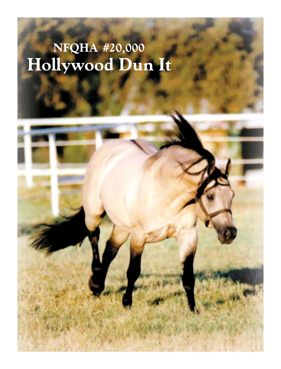# NFQHA #20,000<br>Hollywood Dun It

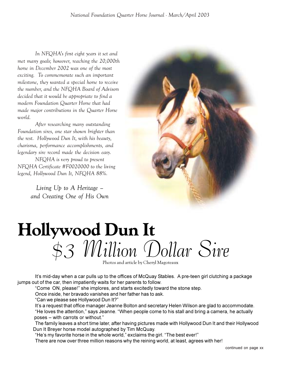In NFQHA's first eight years it set and met many goals; however, reaching the 20,000th horse in December 2002 was one of the most exciting. To commemorate such an important milestone, they wanted a special horse to receive the number, and the NFQHA Board of Advisors decided that it would be appropriate to find a modern Foundation Quarter Horse that had made major contributions in the Quarter Horse world.

After researching many outstanding Foundation sires, one star shown brighter than the rest. Hollywood Dun It, with his beauty, charisma, performance accomplishments, and legendary sire record made the decision easy.

NFQHA is very proud to present NFQHA Certificate #F0020000 to the living legend, Hollywood Dun It, NFQHA 88%.

> Living Up to A Heritage – and Creating One of His Own



## Hollywood Dun It \$3 Million Dollar Sire

Photos and article by Cheryl Magoteaux

It's mid-day when a car pulls up to the offices of McQuay Stables. A pre-teen girl clutching a package jumps out of the car, then impatiently waits for her parents to follow.

"Come ON, please!" she implores, and starts excitedly toward the stone step.

Once inside, her bravado vanishes and her father has to ask.

"Can we please see Hollywood Dun It?"

It's a request that office manager Jeanne Bolton and secretary Helen Wilson are glad to accommodate. "He loves the attention," says Jeanne. "When people come to his stall and bring a camera, he actually poses – with carrots or without."

The family leaves a short time later, after having pictures made with Hollywood Dun It and their Hollywood Dun It Breyer horse model autographed by Tim McQuay.

"He's my favorite horse in the whole world," exclaims the girl. "The best ever!"

There are now over three million reasons why the reining world, at least, agrees with her!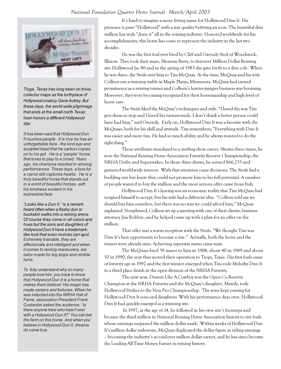### National Foundation Quarter Horse Journal - March/April 2003



Tioga, Texas has long been on triviacollector maps as the birthplace of Hollywood cowboy Gene Autrey. But these days, the world-wide pilgrimage that ends at the small north Texas town honors a different Hollywood star.

It has been said that Hollywood Dun It touches people. It is true he has an unforgettable face - the kind eye and sculpted head that he carbon-copies on to his get. He is a "people" horse that loves to play to a crowd. Years ago, his charisma resulted in winning performances. These days, a bow for a carrot still captures hearts. He is a truly beautiful horse that stands out in a world of beautiful horses, with his kindness evident in his expressive face.

"Looks like a Dun It," is a remark heard often when a flashy dun or buckskin walks into a reining arena. Of course they come in all colors and hues but the sons and daughters of Hollywood Dun It have a trademarklike look that even novices can spot. Extremely trainable, they are affectionate and intelligent and when it comes to reining maneuvers, are tailor-made for big stops and nimble turns.

To fully understand why so many people love him, you have to know that Hollywood Dun It is a horse that makes them believe! His magic has made careers and fortunes. When he was inducted into the NRHA Hall of Fame, association President Frank Costantini asked the audience, "Is there anyone here who hasn't won with a Hollywood Dun It?" You can bet the farm on this horse. And when you believe in Hollywood Dun It, dreams do come true.

It's hard to imagine a more fitting name for Hollywood Dun It. His presence is pure "Hollywood" with a star quality befitting an icon. The beautiful dun stallion has truly "done it" all in the reining industry. Honored worldwide for his accomplishments, this horse has come to represent the industry in the last two decades.

He was the first foal ever bred by Cliff and Gwendy Steif of Woodstock, Illinois. They took their mare, Blossom Berry, to first-ever Million Dollar Reining sire Hollywood Jac 86 and in the spring of 1983 she gave birth to a dun colt. When he was three, the Steifs sent him to Tim McQuay. At the time, McQuay and his wife Colleen ran a training stable in Maple Plains, Minnesota. McQuay had earned prominence as a reining trainer and Colleen's hunter-jumper business was booming. Moreover, they were becoming recognized for their horsemanship and high level of horse care.

The Steifs liked the McQuay's techniques and style. "I loved the way Tim gets them to stop and I loved his turnarounds. I don't think a better person could have had him," said Gwendy. Early on, Hollywood Dun It was a favorite with the McQuays, both for his skill and attitude. Tim remembers, "Everything with Dun It was easier and more fun. He had so much ability and he always wanted to do the right thing."

Those attributes translated to a sterling show career. Shown three times, he won the National Reining Horse Association Futurity Reserve Championship, the NRHA Derby and Superstakes. In those three shows, he earned \$66,255 and garnered world-wide interest. With that attention came decisions. The Steifs had a budding star but knew they could not promote him to his full potential. A number of people wanted to buy the stallion and the most serious offer came from Italy.

Hollywood Dun It's leaving was an economic reality that Tim McQuay had resigned himself to accept, but his wife had a different idea. "Colleen told me we should buy him ourselves, but there was no way we could afford him," McQuay explained. Nonplussed, Colleen set up a meeting with one of their clients, business attorney Jim Robbin, and he helped come up with a plan for an offer on the stallion.

That offer met a warm reception with the Steifs. "We thought Tim was Dun It's best opportunity to become a star." Actually, both the horse and the trainer were already stars. Achieving superstar status came next.

The McQuays bred 38 mares to him in 1988, about 40 in 1989 and about 50 in 1990, the year they moved their operation to Tioga, Texas. His first foals came of futurity age in 1992 and the first winner emerged when Tim rode Melodys Dun It to a third place finish in the open division of the NRHA Futurity.

The next year, Dunnit Like A Cowboy was the Open Co-Reserve Champion at the NRHA Futurity and the McQuay's daughter, Mandy, rode Hollywood Striker to the Non Pro Championship. The wins kept coming for Hollywood Dun It sons and daughters. With his performance days over, Hollywood Dun It had quickly emerged as a winning sire.

 In 1997, at the age of 14, he followed in his own sire's footsteps and became the third stallion in National Reining Horse Association history to sire foals whose earnings surpassed the million dollar mark. Within weeks of Hollywood Dun It's million dollar milestone, McQuay duplicated the dollar figure in riding earnings – becoming the industry's second-ever million dollar earner, and he has since become the Leading All Time Money Earner in reining history.